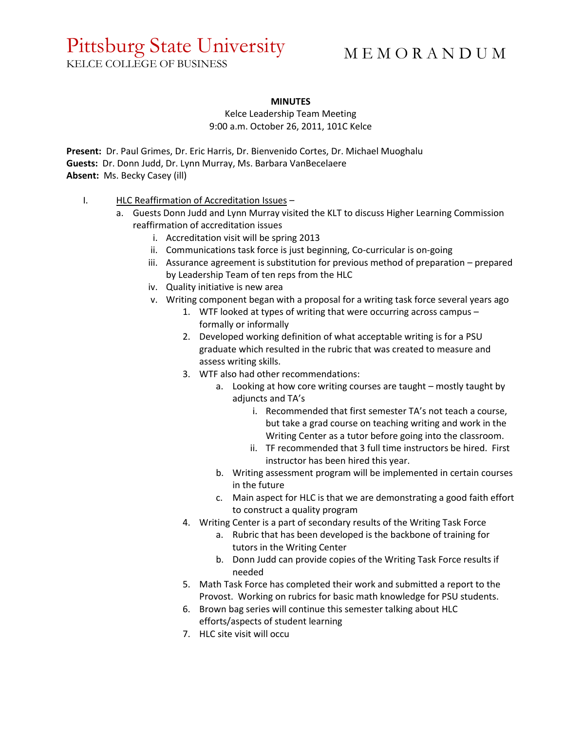## Pittsburg State University

KELCE COLLEGE OF BUSINESS

## M E M O R A N D U M

## **MINUTES**

Kelce Leadership Team Meeting 9:00 a.m. October 26, 2011, 101C Kelce

**Present:** Dr. Paul Grimes, Dr. Eric Harris, Dr. Bienvenido Cortes, Dr. Michael Muoghalu **Guests:** Dr. Donn Judd, Dr. Lynn Murray, Ms. Barbara VanBecelaere **Absent:** Ms. Becky Casey (ill)

- I. HLC Reaffirmation of Accreditation Issues
	- a. Guests Donn Judd and Lynn Murray visited the KLT to discuss Higher Learning Commission reaffirmation of accreditation issues
		- i. Accreditation visit will be spring 2013
		- ii. Communications task force is just beginning, Co-curricular is on-going
		- iii. Assurance agreement is substitution for previous method of preparation prepared by Leadership Team of ten reps from the HLC
		- iv. Quality initiative is new area
		- v. Writing component began with a proposal for a writing task force several years ago
			- 1. WTF looked at types of writing that were occurring across campus formally or informally
			- 2. Developed working definition of what acceptable writing is for a PSU graduate which resulted in the rubric that was created to measure and assess writing skills.
			- 3. WTF also had other recommendations:
				- a. Looking at how core writing courses are taught mostly taught by adjuncts and TA's
					- i. Recommended that first semester TA's not teach a course, but take a grad course on teaching writing and work in the Writing Center as a tutor before going into the classroom.
					- ii. TF recommended that 3 full time instructors be hired. First instructor has been hired this year.
				- b. Writing assessment program will be implemented in certain courses in the future
				- c. Main aspect for HLC is that we are demonstrating a good faith effort to construct a quality program
			- 4. Writing Center is a part of secondary results of the Writing Task Force
				- a. Rubric that has been developed is the backbone of training for tutors in the Writing Center
				- b. Donn Judd can provide copies of the Writing Task Force results if needed
			- 5. Math Task Force has completed their work and submitted a report to the Provost. Working on rubrics for basic math knowledge for PSU students.
			- 6. Brown bag series will continue this semester talking about HLC efforts/aspects of student learning
			- 7. HLC site visit will occu